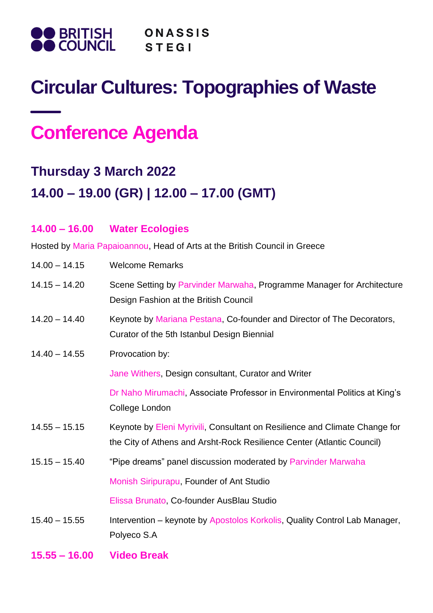

## **Circular Cultures: Topographies of Waste**

# **Conference Agenda**

**14.00 – 16.00 Water Ecologies**

## **Thursday 3 March 2022 14.00 – 19.00 (GR) | 12.00 – 17.00 (GMT)**

## Hosted by Maria Papaioannou, Head of Arts at the British Council in Greece 14.00 – 14.15 Welcome Remarks 14.15 – 14.20 Scene Setting by Parvinder Marwaha, Programme Manager for Architecture Design Fashion at the British Council 14.20 – 14.40 Keynote by Mariana Pestana, Co-founder and Director of The Decorators, Curator of the 5th Istanbul Design Biennial 14.40 – 14.55 Provocation by: Jane Withers, Design consultant, Curator and Writer Dr Naho Mirumachi, Associate Professor in Environmental Politics at King's College London 14.55 – 15.15 Keynote by Eleni Myrivili, Consultant on Resilience and Climate Change for the City of Athens and Arsht-Rock Resilience Center (Atlantic Council) 15.15 – 15.40 "Pipe dreams" panel discussion moderated by Parvinder Marwaha Monish Siripurapu, Founder of Ant Studio Elissa Brunato, Co-founder AusBlau Studio 15.40 – 15.55 Intervention – keynote by Apostolos Korkolis, Quality Control Lab Manager, Polyeco S.A **15.55 – 16.00 Video Break**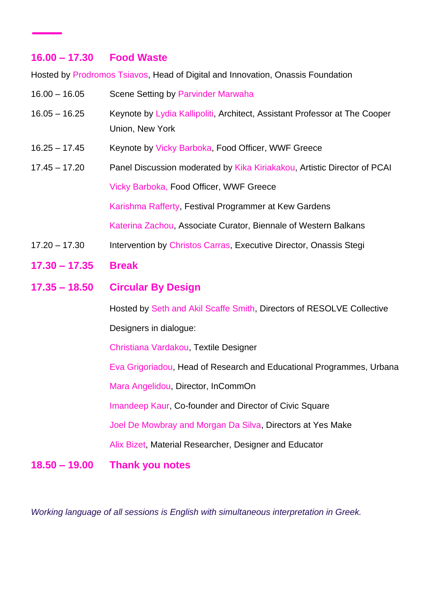### **16.00 – 17.30 Food Waste**

Hosted by Prodromos Tsiavos, Head of Digital and Innovation, Onassis Foundation

16.00 – 16.05 Scene Setting by Parvinder Marwaha 16.05 – 16.25 Keynote by Lydia Kallipoliti, Architect, Assistant Professor at The Cooper Union, New York 16.25 – 17.45 Keynote by Vicky Barboka, Food Officer, WWF Greece 17.45 – 17.20 Panel Discussion moderated by Kika Kiriakakou, Artistic Director of PCAI Vicky Barboka, Food Officer, WWF Greece Karishma Rafferty, Festival Programmer at Kew Gardens Katerina Zachou, Associate Curator, Biennale of Western Balkans 17.20 – 17.30 Intervention by Christos Carras, Executive Director, Onassis Stegi **17.30 – 17.35 Break 17.35 – 18.50 Circular By Design** Hosted by Seth and Akil Scaffe Smith, Directors of RESOLVE Collective Designers in dialogue: Christiana Vardakou, Textile Designer Eva Grigoriadou, Head of Research and Educational Programmes, Urbana Mara Angelidou, Director, InCommOn Imandeep Kaur, Co-founder and Director of Civic Square Joel De Mowbray and Morgan Da Silva, Directors at Yes Make Alix Bizet, Material Researcher, Designer and Educator **18.50 – 19.00 Thank you notes**

*Working language of all sessions is English with simultaneous interpretation in Greek.*